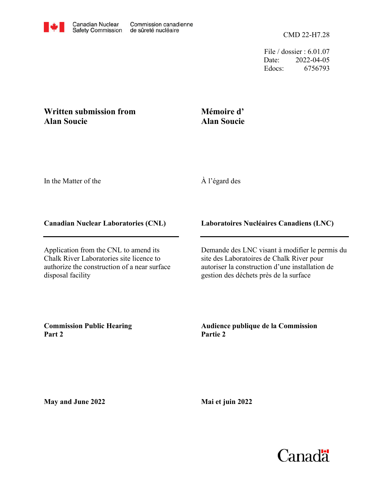File / dossier : 6.01.07 Date: 2022-04-05 Edocs: 6756793

## **Written submission from Alan Soucie**

## **Mémoire d' Alan Soucie**

In the Matter of the

# À l'égard des

### **Canadian Nuclear Laboratories (CNL)**

Application from the CNL to amend its Chalk River Laboratories site licence to authorize the construction of a near surface disposal facility

### **Laboratoires Nucléaires Canadiens (LNC)**

Demande des LNC visant à modifier le permis du site des Laboratoires de Chalk River pour autoriser la construction d'une installation de gestion des déchets près de la surface

**Commission Public Hearing Part 2**

**Audience publique de la Commission Partie 2**

**May and June 2022**

**Mai et juin 2022**